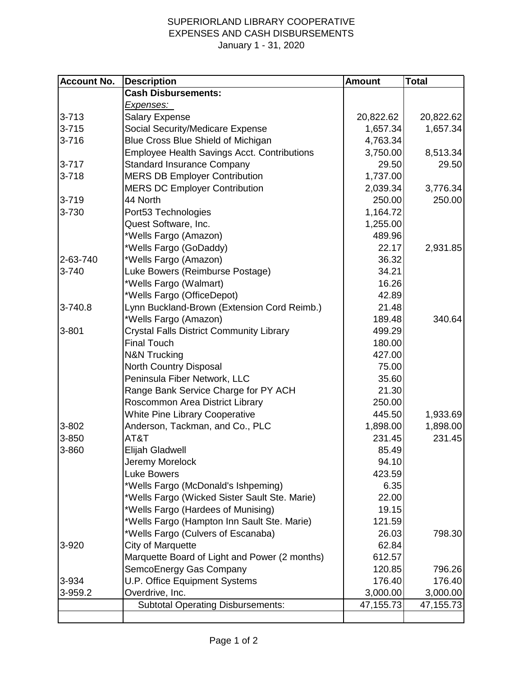## SUPERIORLAND LIBRARY COOPERATIVE EXPENSES AND CASH DISBURSEMENTS January 1 - 31, 2020

| <b>Account No.</b> | <b>Description</b>                                 | <b>Amount</b> | <b>Total</b> |
|--------------------|----------------------------------------------------|---------------|--------------|
|                    | <b>Cash Disbursements:</b>                         |               |              |
|                    | <u>Expenses: </u>                                  |               |              |
| $3 - 713$          | <b>Salary Expense</b>                              | 20,822.62     | 20,822.62    |
| $3 - 715$          | Social Security/Medicare Expense                   | 1,657.34      | 1,657.34     |
| $3 - 716$          | Blue Cross Blue Shield of Michigan                 | 4,763.34      |              |
|                    | <b>Employee Health Savings Acct. Contributions</b> | 3,750.00      | 8,513.34     |
| $3 - 717$          | <b>Standard Insurance Company</b>                  | 29.50         | 29.50        |
| $3 - 718$          | <b>MERS DB Employer Contribution</b>               | 1,737.00      |              |
|                    | <b>MERS DC Employer Contribution</b>               | 2,039.34      | 3,776.34     |
| $3 - 719$          | 44 North                                           | 250.00        | 250.00       |
| 3-730              | Port53 Technologies                                | 1,164.72      |              |
|                    | Quest Software, Inc.                               | 1,255.00      |              |
|                    | *Wells Fargo (Amazon)                              | 489.96        |              |
|                    | *Wells Fargo (GoDaddy)                             | 22.17         | 2,931.85     |
| 2-63-740           | *Wells Fargo (Amazon)                              | 36.32         |              |
| 3-740              | Luke Bowers (Reimburse Postage)                    | 34.21         |              |
|                    | *Wells Fargo (Walmart)                             | 16.26         |              |
|                    | *Wells Fargo (OfficeDepot)                         | 42.89         |              |
| 3-740.8            | Lynn Buckland-Brown (Extension Cord Reimb.)        | 21.48         |              |
|                    | *Wells Fargo (Amazon)                              | 189.48        | 340.64       |
| 3-801              | <b>Crystal Falls District Community Library</b>    | 499.29        |              |
|                    | <b>Final Touch</b>                                 | 180.00        |              |
|                    | <b>N&amp;N Trucking</b>                            | 427.00        |              |
|                    | North Country Disposal                             | 75.00         |              |
|                    | Peninsula Fiber Network, LLC                       | 35.60         |              |
|                    | Range Bank Service Charge for PY ACH               | 21.30         |              |
|                    | Roscommon Area District Library                    | 250.00        |              |
|                    | <b>White Pine Library Cooperative</b>              | 445.50        | 1,933.69     |
| 3-802              | Anderson, Tackman, and Co., PLC                    | 1,898.00      | 1,898.00     |
| 3-850              | AT&T                                               | 231.45        | 231.45       |
| 3-860              | <b>Elijah Gladwell</b>                             | 85.49         |              |
|                    | Jeremy Morelock                                    | 94.10         |              |
|                    | <b>Luke Bowers</b>                                 | 423.59        |              |
|                    | *Wells Fargo (McDonald's Ishpeming)                | 6.35          |              |
|                    | *Wells Fargo (Wicked Sister Sault Ste. Marie)      | 22.00         |              |
|                    | *Wells Fargo (Hardees of Munising)                 | 19.15         |              |
|                    | *Wells Fargo (Hampton Inn Sault Ste. Marie)        | 121.59        |              |
|                    | *Wells Fargo (Culvers of Escanaba)                 | 26.03         | 798.30       |
| 3-920              | City of Marquette                                  | 62.84         |              |
|                    | Marquette Board of Light and Power (2 months)      | 612.57        |              |
|                    | SemcoEnergy Gas Company                            | 120.85        | 796.26       |
| 3-934              | <b>U.P. Office Equipment Systems</b>               | 176.40        | 176.40       |
| 3-959.2            | Overdrive, Inc.                                    | 3,000.00      | 3,000.00     |
|                    | <b>Subtotal Operating Disbursements:</b>           | 47,155.73     | 47,155.73    |
|                    |                                                    |               |              |